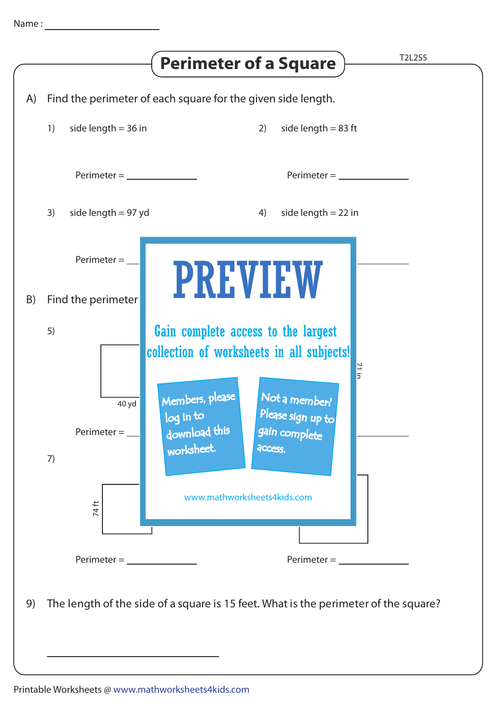